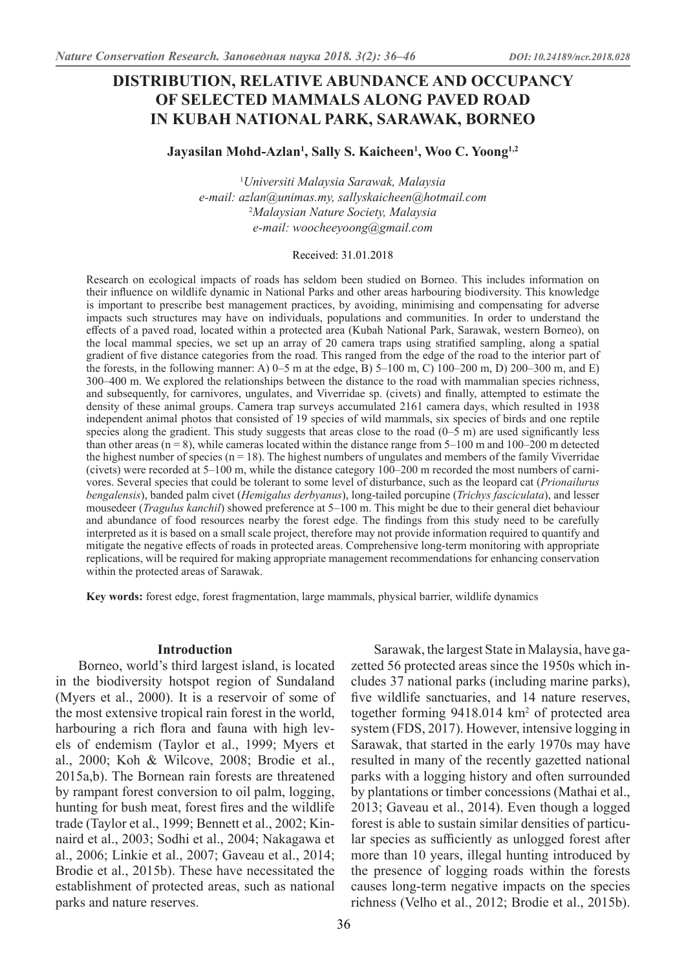## **DISTRIBUTION, RELATIVE ABUNDANCE AND OCCUPANCY OF SELECTED MAMMALS ALONG PAVED ROAD IN KUBAH NATIONAL PARK, SARAWAK, BORNEO**

## **Jayasilan Mohd-Azlan1 , Sally S. Kaicheen1 , Woo C. Yoong1,2**

1 *Universiti Malaysia Sarawak, Malaysia e-mail: azlan@unimas.my, sallyskaicheen@hotmail.com* 2 *Malaysian Nature Society, Malaysia e-mail: woocheeyoong@gmail.com*

#### Received: 31.01.2018

Research on ecological impacts of roads has seldom been studied on Borneo. This includes information on their influence on wildlife dynamic in National Parks and other areas harbouring biodiversity. This knowledge is important to prescribe best management practices, by avoiding, minimising and compensating for adverse impacts such structures may have on individuals, populations and communities. In order to understand the effects of a paved road, located within a protected area (Kubah National Park, Sarawak, western Borneo), on the local mammal species, we set up an array of 20 camera traps using stratified sampling, along a spatial gradient of five distance categories from the road. This ranged from the edge of the road to the interior part of the forests, in the following manner: A)  $0-5$  m at the edge, B)  $5-100$  m, C)  $100-200$  m, D)  $200-300$  m, and E) 300–400 m. We explored the relationships between the distance to the road with mammalian species richness, and subsequently, for carnivores, ungulates, and Viverridae sp. (civets) and finally, attempted to estimate the density of these animal groups. Camera trap surveys accumulated 2161 camera days, which resulted in 1938 independent animal photos that consisted of 19 species of wild mammals, six species of birds and one reptile species along the gradient. This study suggests that areas close to the road  $(0-5 \text{ m})$  are used significantly less than other areas  $(n = 8)$ , while cameras located within the distance range from  $5-100$  m and  $100-200$  m detected the highest number of species  $(n = 18)$ . The highest numbers of ungulates and members of the family Viverridae (civets) were recorded at 5–100 m, while the distance category 100–200 m recorded the most numbers of carnivores. Several species that could be tolerant to some level of disturbance, such as the leopard cat (*Prionailurus bengalensis*), banded palm civet (*Hemigalus derbyanus*), long-tailed porcupine (*Trichys fasciculata*), and lesser mousedeer (*Tragulus kanchil*) showed preference at 5–100 m. This might be due to their general diet behaviour and abundance of food resources nearby the forest edge. The findings from this study need to be carefully interpreted as it is based on a small scale project, therefore may not provide information required to quantify and mitigate the negative effects of roads in protected areas. Comprehensive long-term monitoring with appropriate replications, will be required for making appropriate management recommendations for enhancing conservation within the protected areas of Sarawak.

**Key words:** forest edge, forest fragmentation, large mammals, physical barrier, wildlife dynamics

### **Introduction**

Borneo, world's third largest island, is located in the biodiversity hotspot region of Sundaland (Myers et al., 2000). It is a reservoir of some of the most extensive tropical rain forest in the world, harbouring a rich flora and fauna with high levels of endemism (Taylor et al., 1999; Myers et al., 2000; Koh & Wilcove, 2008; Brodie et al., 2015a,b). The Bornean rain forests are threatened by rampant forest conversion to oil palm, logging, hunting for bush meat, forest fires and the wildlife trade (Taylor et al., 1999; Bennett et al., 2002; Kinnaird et al., 2003; Sodhi et al., 2004; Nakagawa et al., 2006; Linkie et al., 2007; Gaveau et al., 2014; Brodie et al., 2015b). These have necessitated the establishment of protected areas, such as national parks and nature reserves.

Sarawak, the largest State in Malaysia, have gazetted 56 protected areas since the 1950s which includes 37 national parks (including marine parks), five wildlife sanctuaries, and 14 nature reserves, together forming 9418.014 km<sup>2</sup> of protected area system (FDS, 2017). However, intensive logging in Sarawak, that started in the early 1970s may have resulted in many of the recently gazetted national parks with a logging history and often surrounded by plantations or timber concessions (Mathai et al., 2013; Gaveau et al., 2014). Even though a logged forest is able to sustain similar densities of particular species as sufficiently as unlogged forest after more than 10 years, illegal hunting introduced by the presence of logging roads within the forests causes long-term negative impacts on the species richness (Velho et al., 2012; Brodie et al., 2015b).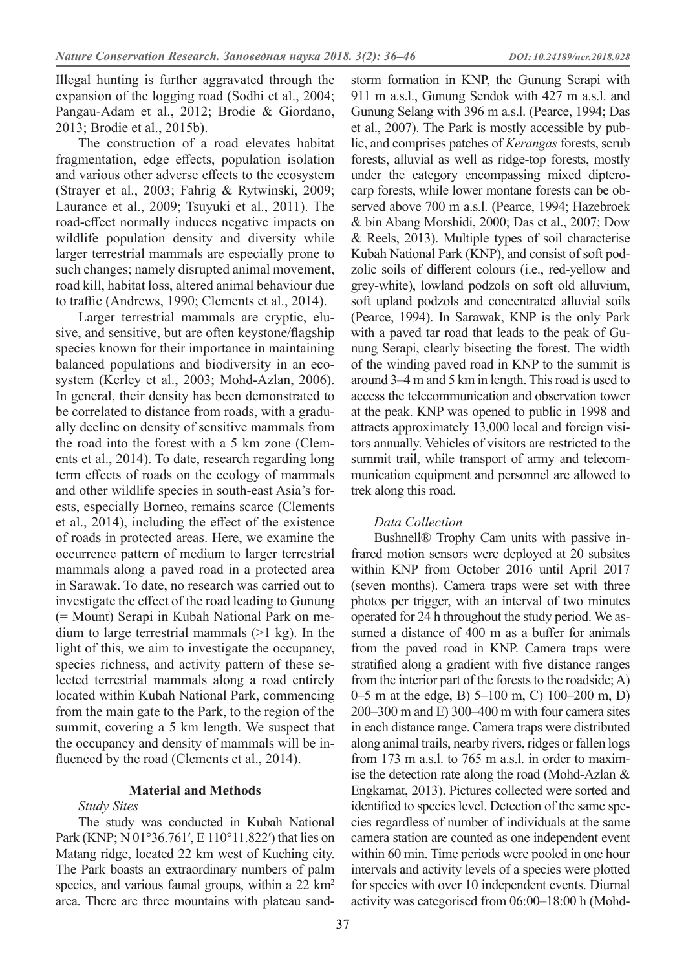Illegal hunting is further aggravated through the expansion of the logging road (Sodhi et al., 2004; Pangau-Adam et al., 2012; Brodie & Giordano, 2013; Brodie et al., 2015b).

The construction of a road elevates habitat fragmentation, edge effects, population isolation and various other adverse effects to the ecosystem (Strayer et al., 2003; Fahrig & Rytwinski, 2009; Laurance et al., 2009; Tsuyuki et al., 2011). The road-effect normally induces negative impacts on wildlife population density and diversity while larger terrestrial mammals are especially prone to such changes; namely disrupted animal movement, road kill, habitat loss, altered animal behaviour due to traffic (Andrews, 1990; Clements et al., 2014).

Larger terrestrial mammals are cryptic, elusive, and sensitive, but are often keystone/flagship species known for their importance in maintaining balanced populations and biodiversity in an ecosystem (Kerley et al., 2003; Mohd-Azlan, 2006). In general, their density has been demonstrated to be correlated to distance from roads, with a gradually decline on density of sensitive mammals from the road into the forest with a 5 km zone (Clements et al., 2014). To date, research regarding long term effects of roads on the ecology of mammals and other wildlife species in south-east Asia's forests, especially Borneo, remains scarce (Clements et al., 2014), including the effect of the existence of roads in protected areas. Here, we examine the occurrence pattern of medium to larger terrestrial mammals along a paved road in a protected area in Sarawak. To date, no research was carried out to investigate the effect of the road leading to Gunung (= Mount) Serapi in Kubah National Park on medium to large terrestrial mammals (>1 kg). In the light of this, we aim to investigate the occupancy, species richness, and activity pattern of these selected terrestrial mammals along a road entirely located within Kubah National Park, commencing from the main gate to the Park, to the region of the summit, covering a 5 km length. We suspect that the occupancy and density of mammals will be influenced by the road (Clements et al., 2014).

## **Material and Methods**

### *Study Sites*

The study was conducted in Kubah National Park (KNP; N 01°36.761′, E 110°11.822′) that lies on Matang ridge, located 22 km west of Kuching city. The Park boasts an extraordinary numbers of palm species, and various faunal groups, within a 22 km<sup>2</sup> area. There are three mountains with plateau sand-

storm formation in KNP, the Gunung Serapi with 911 m a.s.l., Gunung Sendok with 427 m a.s.l. and Gunung Selang with 396 m a.s.l. (Pearce, 1994; Das et al., 2007). The Park is mostly accessible by public, and comprises patches of *Kerangas* forests, scrub forests, alluvial as well as ridge-top forests, mostly under the category encompassing mixed dipterocarp forests, while lower montane forests can be observed above 700 m a.s.l. (Pearce, 1994; Hazebroek & bin Abang Morshidi, 2000; Das et al., 2007; Dow & Reels, 2013). Multiple types of soil characterise Kubah National Park (KNP), and consist of soft podzolic soils of different colours (i.e., red-yellow and grey-white), lowland podzols on soft old alluvium, soft upland podzols and concentrated alluvial soils (Pearce, 1994). In Sarawak, KNP is the only Park with a paved tar road that leads to the peak of Gunung Serapi, clearly bisecting the forest. The width of the winding paved road in KNP to the summit is around 3–4 m and 5 km in length. This road is used to access the telecommunication and observation tower at the peak. KNP was opened to public in 1998 and attracts approximately 13,000 local and foreign visitors annually. Vehicles of visitors are restricted to the summit trail, while transport of army and telecommunication equipment and personnel are allowed to trek along this road.

### *Data Collection*

Bushnell® Trophy Cam units with passive infrared motion sensors were deployed at 20 subsites within KNP from October 2016 until April 2017 (seven months). Camera traps were set with three photos per trigger, with an interval of two minutes operated for 24 h throughout the study period. We assumed a distance of 400 m as a buffer for animals from the paved road in KNP. Camera traps were stratified along a gradient with five distance ranges from the interior part of the forests to the roadside; A) 0–5 m at the edge, B) 5–100 m, C) 100–200 m, D) 200–300 m and E) 300–400 m with four camera sites in each distance range. Camera traps were distributed along animal trails, nearby rivers, ridges or fallen logs from 173 m a.s.l. to 765 m a.s.l. in order to maximise the detection rate along the road (Mohd-Azlan & Engkamat, 2013). Pictures collected were sorted and identified to species level. Detection of the same species regardless of number of individuals at the same camera station are counted as one independent event within 60 min. Time periods were pooled in one hour intervals and activity levels of a species were plotted for species with over 10 independent events. Diurnal activity was categorised from 06:00–18:00 h (Mohd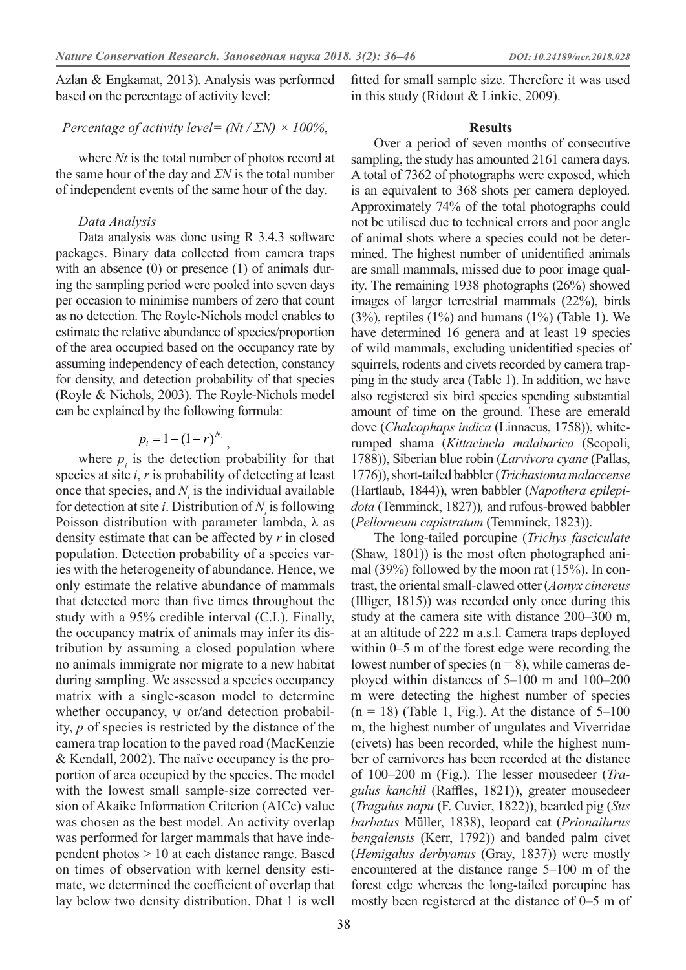Azlan & Engkamat, 2013). Analysis was performed based on the percentage of activity level:

### *Percentage of activity level= (Nt / ΣN) × 100%*,

where *Nt* is the total number of photos record at the same hour of the day and *ΣN* is the total number of independent events of the same hour of the day.

### *Data Analysis*

Data analysis was done using R 3.4.3 software packages. Binary data collected from camera traps with an absence  $(0)$  or presence  $(1)$  of animals during the sampling period were pooled into seven days per occasion to minimise numbers of zero that count as no detection. The Royle-Nichols model enables to estimate the relative abundance of species/proportion of the area occupied based on the occupancy rate by assuming independency of each detection, constancy for density, and detection probability of that species (Royle & Nichols, 2003). The Royle-Nichols model can be explained by the following formula:

# $p_i = 1 - (1 - r)^{N_i}$

where  $p_i$  is the detection probability for that species at site *i*, *r* is probability of detecting at least once that species, and  $N<sub>i</sub>$  is the individual available for detection at site *i*. Distribution of  $N<sub>i</sub>$  is following Poisson distribution with parameter lambda,  $\lambda$  as density estimate that can be affected by *r* in closed population. Detection probability of a species varies with the heterogeneity of abundance. Hence, we only estimate the relative abundance of mammals that detected more than five times throughout the study with a 95% credible interval (C.I.). Finally, the occupancy matrix of animals may infer its distribution by assuming a closed population where no animals immigrate nor migrate to a new habitat during sampling. We assessed a species occupancy matrix with a single-season model to determine whether occupancy, ψ or/and detection probability, *p* of species is restricted by the distance of the camera trap location to the paved road (MacKenzie & Kendall, 2002). The naïve occupancy is the proportion of area occupied by the species. The model with the lowest small sample-size corrected version of Akaike Information Criterion (AICc) value was chosen as the best model. An activity overlap was performed for larger mammals that have independent photos > 10 at each distance range. Based on times of observation with kernel density estimate, we determined the coefficient of overlap that lay below two density distribution. Dhat 1 is well

fitted for small sample size. Therefore it was used in this study (Ridout & Linkie, 2009).

### **Results**

Over a period of seven months of consecutive sampling, the study has amounted 2161 camera days. A total of 7362 of photographs were exposed, which is an equivalent to 368 shots per camera deployed. Approximately 74% of the total photographs could not be utilised due to technical errors and poor angle of animal shots where a species could not be determined. The highest number of unidentified animals are small mammals, missed due to poor image quality. The remaining 1938 photographs (26%) showed images of larger terrestrial mammals (22%), birds  $(3%)$ , reptiles  $(1%)$  and humans  $(1%)$  (Table 1). We have determined 16 genera and at least 19 species of wild mammals, excluding unidentified species of squirrels, rodents and civets recorded by camera trapping in the study area (Table 1). In addition, we have also registered six bird species spending substantial amount of time on the ground. These are emerald dove (*Chalcophaps indica* (Linnaeus, 1758)), whiterumped shama (*Kittacincla malabarica* (Scopoli, 1788)), Siberian blue robin (*Larvivora cyane* (Pallas, 1776)), short-tailed babbler (*Trichastoma malaccense* (Hartlaub, 1844)), wren babbler (*Napothera epilepidota* (Temminck, 1827))*,* and rufous-browed babbler (*Pellorneum capistratum* (Temminck, 1823)).

The long-tailed porcupine (*Trichys fasciculate* (Shaw, 1801)) is the most often photographed animal (39%) followed by the moon rat (15%). In contrast, the oriental small-clawed otter (*Aonyx cinereus* (Illiger, 1815)) was recorded only once during this study at the camera site with distance 200–300 m, at an altitude of 222 m a.s.l. Camera traps deployed within 0–5 m of the forest edge were recording the lowest number of species  $(n = 8)$ , while cameras deployed within distances of 5–100 m and 100–200 m were detecting the highest number of species  $(n = 18)$  (Table 1, Fig.). At the distance of 5–100 m, the highest number of ungulates and Viverridae (civets) has been recorded, while the highest number of carnivores has been recorded at the distance of 100–200 m (Fig.). The lesser mousedeer (*Tragulus kanchil* (Raffles, 1821)), greater mousedeer (*Tragulus napu* (F. Cuvier, 1822)), bearded pig (*Sus barbatus* Müller, 1838), leopard cat (*Prionailurus bengalensis* (Kerr, 1792)) and banded palm civet (*Hemigalus derbyanus* (Gray, 1837)) were mostly encountered at the distance range 5–100 m of the forest edge whereas the long-tailed porcupine has mostly been registered at the distance of 0–5 m of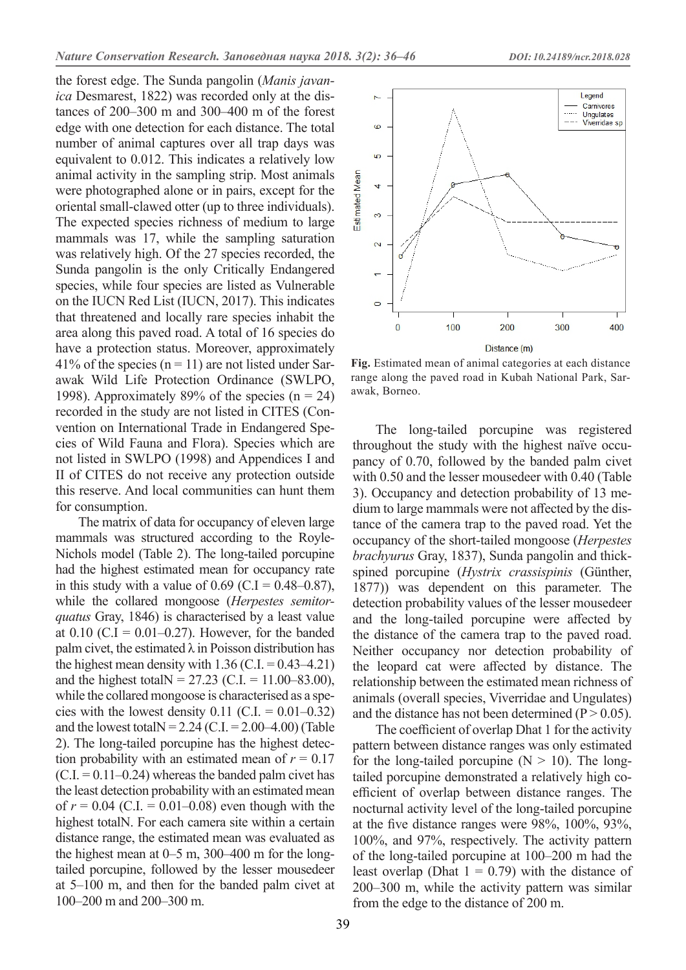the forest edge. The Sunda pangolin (*Manis javanica* Desmarest, 1822) was recorded only at the distances of 200–300 m and 300–400 m of the forest edge with one detection for each distance. The total number of animal captures over all trap days was equivalent to 0.012. This indicates a relatively low animal activity in the sampling strip. Most animals were photographed alone or in pairs, except for the oriental small-clawed otter (up to three individuals). The expected species richness of medium to large mammals was 17, while the sampling saturation was relatively high. Of the 27 species recorded, the Sunda pangolin is the only Critically Endangered species, while four species are listed as Vulnerable on the IUCN Red List (IUCN, 2017). This indicates that threatened and locally rare species inhabit the area along this paved road. A total of 16 species do have a protection status. Moreover, approximately 41% of the species ( $n = 11$ ) are not listed under Sarawak Wild Life Protection Ordinance (SWLPO, 1998). Approximately 89% of the species  $(n = 24)$ recorded in the study are not listed in CITES (Convention on International Trade in Endangered Species of Wild Fauna and Flora). Species which are not listed in SWLPO (1998) and Appendices I and II of CITES do not receive any protection outside this reserve. And local communities can hunt them for consumption.

The matrix of data for occupancy of eleven large mammals was structured according to the Royle-Nichols model (Table 2). The long-tailed porcupine had the highest estimated mean for occupancy rate in this study with a value of  $0.69$  (C.I =  $0.48 - 0.87$ ), while the collared mongoose (*Herpestes semitorquatus* Gray, 1846) is characterised by a least value at  $0.10$  (C.I = 0.01–0.27). However, for the banded palm civet, the estimated  $\lambda$  in Poisson distribution has the highest mean density with  $1.36$  (C.I. = 0.43–4.21) and the highest total  $N = 27.23$  (C.I. = 11.00–83.00), while the collared mongoose is characterised as a species with the lowest density  $0.11$  (C.I. =  $0.01-0.32$ ) and the lowest total  $N = 2.24$  (C.I. = 2.00–4.00) (Table 2). The long-tailed porcupine has the highest detection probability with an estimated mean of  $r = 0.17$  $(C.I. = 0.11-0.24)$  whereas the banded palm civet has the least detection probability with an estimated mean of  $r = 0.04$  (C.I. = 0.01–0.08) even though with the highest totalN. For each camera site within a certain distance range, the estimated mean was evaluated as the highest mean at 0–5 m, 300–400 m for the longtailed porcupine, followed by the lesser mousedeer at 5–100 m, and then for the banded palm civet at 100–200 m and 200–300 m.



**Fig.** Estimated mean of animal categories at each distance range along the paved road in Kubah National Park, Sarawak, Borneo.

The long-tailed porcupine was registered throughout the study with the highest naïve occupancy of 0.70, followed by the banded palm civet with 0.50 and the lesser mousedeer with 0.40 (Table 3). Occupancy and detection probability of 13 medium to large mammals were not affected by the distance of the camera trap to the paved road. Yet the occupancy of the short-tailed mongoose (*Herpestes brachyurus* Gray, 1837), Sunda pangolin and thickspined porcupine (*Hystrix crassispinis* (Günther, 1877)) was dependent on this parameter. The detection probability values of the lesser mousedeer and the long-tailed porcupine were affected by the distance of the camera trap to the paved road. Neither occupancy nor detection probability of the leopard cat were affected by distance. The relationship between the estimated mean richness of animals (overall species, Viverridae and Ungulates) and the distance has not been determined ( $P > 0.05$ ).

The coefficient of overlap Dhat 1 for the activity pattern between distance ranges was only estimated for the long-tailed porcupine  $(N > 10)$ . The longtailed porcupine demonstrated a relatively high coefficient of overlap between distance ranges. The nocturnal activity level of the long-tailed porcupine at the five distance ranges were 98%, 100%, 93%, 100%, and 97%, respectively. The activity pattern of the long-tailed porcupine at 100–200 m had the least overlap (Dhat  $1 = 0.79$ ) with the distance of 200–300 m, while the activity pattern was similar from the edge to the distance of 200 m.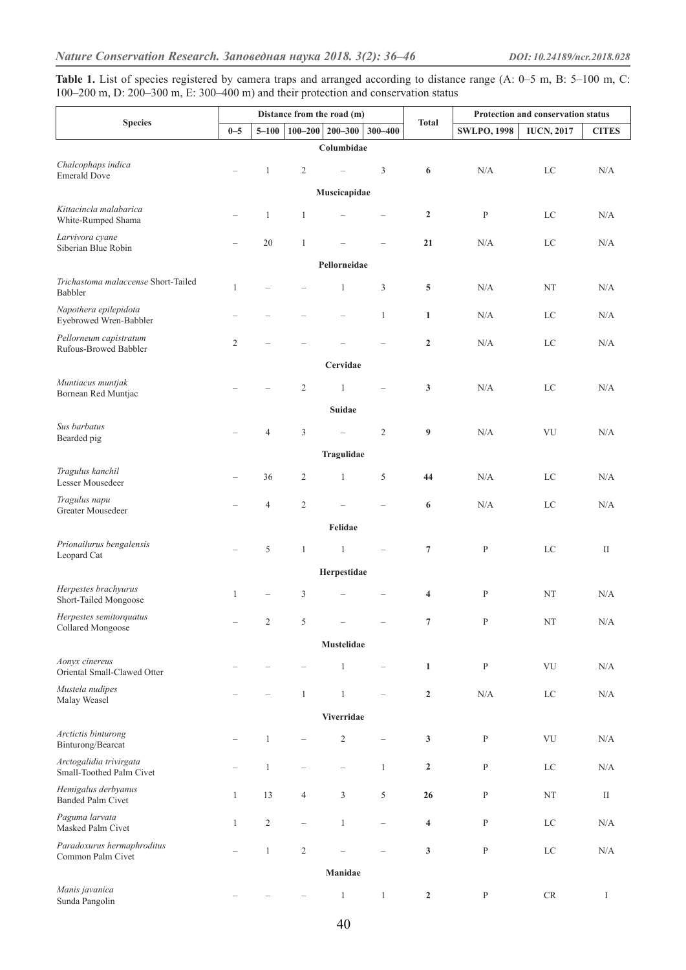Table 1. List of species registered by camera traps and arranged according to distance range (A: 0–5 m, B: 5–100 m, C: 100–200 m, D: 200–300 m, E: 300–400 m) and their protection and conservation status

|                                                     | Distance from the road (m) |                |                                           |                          |                          |                         | Protection and conservation status |               |           |  |
|-----------------------------------------------------|----------------------------|----------------|-------------------------------------------|--------------------------|--------------------------|-------------------------|------------------------------------|---------------|-----------|--|
| <b>Species</b>                                      | $0 - 5$<br>$5 - 100$       |                | $100 - 200$<br>$200 - 300$<br>$300 - 400$ |                          | <b>Total</b>             | <b>SWLPO, 1998</b>      | <b>IUCN, 2017</b>                  | <b>CITES</b>  |           |  |
|                                                     |                            |                |                                           | Columbidae               |                          |                         |                                    |               |           |  |
| Chalcophaps indica<br><b>Emerald Dove</b>           |                            | $\mathbf{1}$   | $\sqrt{2}$                                | $\equiv$                 | 3                        | 6                       | N/A                                | LC            | N/A       |  |
|                                                     |                            |                |                                           | Muscicapidae             |                          |                         |                                    |               |           |  |
| Kittacincla malabarica<br>White-Rumped Shama        |                            | $\mathbf{1}$   | $\mathbf{1}$                              |                          |                          | $\boldsymbol{2}$        | $\mathbf P$                        | LC            | N/A       |  |
| Larvivora cyane<br>Siberian Blue Robin              |                            | 20             | $\mathbf{1}$                              |                          |                          | 21                      | N/A                                | $_{\rm LC}$   | N/A       |  |
|                                                     |                            |                |                                           | Pellorneidae             |                          |                         |                                    |               |           |  |
| Trichastoma malaccense Short-Tailed<br>Babbler      | $\mathbf{1}$               |                |                                           | $\mathbf{1}$             | 3                        | 5                       | N/A                                | NT            | N/A       |  |
| Napothera epilepidota<br>Eyebrowed Wren-Babbler     |                            |                |                                           | $\overline{\phantom{0}}$ | $\mathbf{1}$             | $\mathbf{1}$            | N/A                                | $_{\rm LC}$   | N/A       |  |
| Pellorneum capistratum<br>Rufous-Browed Babbler     | $\overline{2}$             |                |                                           |                          |                          | $\mathbf{2}$            | N/A                                | $_{\rm LC}$   | N/A       |  |
|                                                     |                            |                |                                           | Cervidae                 |                          |                         |                                    |               |           |  |
| Muntiacus muntjak<br>Bornean Red Muntjac            |                            |                | $\mathbf{2}$                              | $\mathbf{1}$             |                          | $\mathbf{3}$            | N/A                                | LC            | N/A       |  |
|                                                     |                            |                |                                           | <b>Suidae</b>            |                          |                         |                                    |               |           |  |
| Sus barbatus<br>Bearded pig                         |                            | 4              | 3                                         | $\overline{\phantom{0}}$ | $\overline{2}$           | 9                       | N/A                                | VU            | N/A       |  |
|                                                     |                            |                |                                           | Tragulidae               |                          |                         |                                    |               |           |  |
| Tragulus kanchil<br>Lesser Mousedeer                |                            | 36             | $\overline{c}$                            | $\mathbf{1}$             | 5                        | 44                      | N/A                                | LC            | N/A       |  |
| Tragulus napu<br>Greater Mousedeer                  |                            | 4              | $\overline{c}$                            |                          |                          | 6                       | N/A                                | $_{\rm LC}$   | N/A       |  |
|                                                     |                            |                |                                           | Felidae                  |                          |                         |                                    |               |           |  |
| Prionailurus bengalensis<br>Leopard Cat             |                            | 5              | $\mathbf{1}$                              | $\mathbf{1}$             |                          | $\overline{7}$          | $\mathbf P$                        | $_{\rm LC}$   | П         |  |
|                                                     |                            |                |                                           | Herpestidae              |                          |                         |                                    |               |           |  |
| Herpestes brachyurus<br>Short-Tailed Mongoose       | $\mathbf{1}$               |                | 3                                         |                          |                          | 4                       | ${\bf P}$                          | NT            | N/A       |  |
| Herpestes semitorquatus<br>Collared Mongoose        |                            | $\overline{c}$ | 5                                         |                          |                          | 7                       | ${\bf P}$                          | ${\rm NT}$    | $\rm N/A$ |  |
|                                                     |                            |                |                                           | Mustelidae               |                          |                         |                                    |               |           |  |
| Aonyx cinereus<br>Oriental Small-Clawed Otter       |                            |                |                                           | $\mathbf{1}$             |                          | $\mathbf 1$             | $\, {\bf p}$                       | ${\rm VU}$    | $\rm N/A$ |  |
| Mustela nudipes<br>Malay Weasel                     |                            |                | $\mathbf{1}$                              | $\,1$                    |                          | $\boldsymbol{2}$        | $\rm N/A$                          | $_{\rm LC}$   | N/A       |  |
|                                                     |                            |                |                                           | Viverridae               |                          |                         |                                    |               |           |  |
| Arctictis binturong<br>Binturong/Bearcat            |                            | $\mathbf{1}$   |                                           | $\sqrt{2}$               |                          | $\mathbf{3}$            | ${\bf P}$                          | ${\rm VU}$    | $\rm N/A$ |  |
| Arctogalidia trivirgata<br>Small-Toothed Palm Civet |                            | $\mathbf{1}$   |                                           | $\qquad \qquad -$        | $\mathbf{1}$             | $\boldsymbol{2}$        | $\, {\bf P}$                       | ${\rm LC}$    | N/A       |  |
| Hemigalus derbyanus<br>Banded Palm Civet            | $\mathbf{1}$               | 13             | $\overline{4}$                            | 3                        | $\sqrt{5}$               | 26                      | $\, {\bf p}$                       | NT            | $\rm II$  |  |
| Paguma larvata<br>Masked Palm Civet                 | $\mathbf{1}$               | $\overline{2}$ | $\overline{\phantom{0}}$                  | $\mathbf{1}$             | $\overline{\phantom{0}}$ | $\overline{\mathbf{4}}$ | $\, {\bf p}$                       | $_{\rm LC}$   | N/A       |  |
| Paradoxurus hermaphroditus<br>Common Palm Civet     |                            | $\mathbf{1}$   | $\overline{c}$                            |                          |                          | $\mathbf{3}$            | ${\bf P}$                          | $\rm LC$      | N/A       |  |
|                                                     |                            |                |                                           | Manidae                  |                          |                         |                                    |               |           |  |
| Manis javanica<br>Sunda Pangolin                    |                            |                | $\overline{\phantom{0}}$                  | $\mathbf{1}$             | $\mathbf{1}$             | $\mathbf{2}$            | $\, {\bf p}$                       | $\mathrm{CR}$ | I         |  |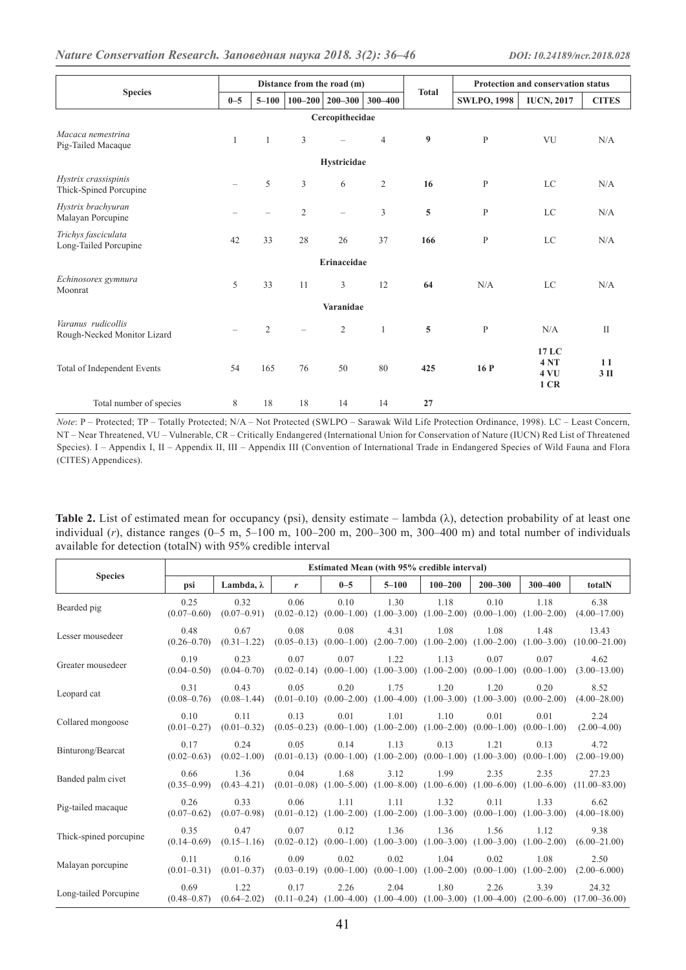|                                                   | Distance from the road (m) |                          |                          |                          |                |              | <b>Protection and conservation status</b> |                             |                          |  |  |
|---------------------------------------------------|----------------------------|--------------------------|--------------------------|--------------------------|----------------|--------------|-------------------------------------------|-----------------------------|--------------------------|--|--|
| <b>Species</b>                                    | $0 - 5$                    | $5 - 100$                |                          | $100 - 200$   200-300    | 300-400        | <b>Total</b> | <b>SWLPO, 1998</b>                        | <b>IUCN, 2017</b>           | <b>CITES</b>             |  |  |
| Cercopithecidae                                   |                            |                          |                          |                          |                |              |                                           |                             |                          |  |  |
| Macaca nemestrina<br>Pig-Tailed Macaque           | 1                          | $\mathbf{1}$             | 3                        | $\overline{\phantom{0}}$ | $\overline{4}$ | 9            | P                                         | VU                          | N/A                      |  |  |
|                                                   |                            |                          |                          | Hystricidae              |                |              |                                           |                             |                          |  |  |
| Hystrix crassispinis<br>Thick-Spined Porcupine    | $\overline{\phantom{0}}$   | 5                        | $\mathfrak{Z}$           | 6                        | $\overline{2}$ | 16           | P                                         | <b>LC</b>                   | N/A                      |  |  |
| Hystrix brachyuran<br>Malayan Porcupine           | $\overline{\phantom{a}}$   | $\overline{\phantom{0}}$ | $\mathfrak{2}$           | $\qquad \qquad -$        | 3              | 5            | $\mathbf{P}$                              | LC                          | N/A                      |  |  |
| Trichys fasciculata<br>Long-Tailed Porcupine      | 42                         | 33                       | 28                       | 26                       | 37             | 166          | $\mathbf{P}$                              | <b>LC</b>                   | N/A                      |  |  |
|                                                   | Erinaceidae                |                          |                          |                          |                |              |                                           |                             |                          |  |  |
| Echinosorex gymnura<br>Moonrat                    | 5                          | 33                       | 11                       | 3                        | 12             | 64           | N/A                                       | <b>LC</b>                   | N/A                      |  |  |
|                                                   |                            |                          |                          | Varanidae                |                |              |                                           |                             |                          |  |  |
| Varanus rudicollis<br>Rough-Necked Monitor Lizard |                            | $\overline{2}$           | $\overline{\phantom{0}}$ | $\mathfrak{2}$           | $\mathbf{1}$   | 5            | $\mathbf{P}$                              | N/A                         | $\mathbf{I}$             |  |  |
| Total of Independent Events                       | 54                         | 165                      | 76                       | 50                       | 80             | 425          | 16P                                       | 17 LC<br>4NT<br>4 VU<br>1CR | 1 <sub>I</sub><br>$3$ II |  |  |
| Total number of species                           | 8                          | 18                       | 18                       | 14                       | 14             | 27           |                                           |                             |                          |  |  |

*Note*: P – Protected; TP – Totally Protected; N/A – Not Protected (SWLPO – Sarawak Wild Life Protection Ordinance, 1998). LC – Least Concern, NT – Near Threatened, VU – Vulnerable, CR – Critically Endangered (International Union for Conservation of Nature (IUCN) Red List of Threatened Species). I – Appendix I, II – Appendix II, III – Appendix III (Convention of International Trade in Endangered Species of Wild Fauna and Flora (CITES) Appendices).

| Table 2. List of estimated mean for occupancy (psi), density estimate – lambda ( $\lambda$ ), detection probability of at least one                            |  |
|----------------------------------------------------------------------------------------------------------------------------------------------------------------|--|
| individual $(r)$ , distance ranges $(0-5 \text{ m}, 5-100 \text{ m}, 100-200 \text{ m}, 200-300 \text{ m}, 300-400 \text{ m})$ and total number of individuals |  |
| available for detection (totalN) with 95% credible interval                                                                                                    |  |

|                        | <b>Estimated Mean (with 95% credible interval)</b> |                         |                                                                                                           |         |           |             |                                                                                             |             |                                                                                                                            |  |  |
|------------------------|----------------------------------------------------|-------------------------|-----------------------------------------------------------------------------------------------------------|---------|-----------|-------------|---------------------------------------------------------------------------------------------|-------------|----------------------------------------------------------------------------------------------------------------------------|--|--|
| <b>Species</b>         | psi                                                | Lambda, $\lambda$       | $\boldsymbol{r}$                                                                                          | $0 - 5$ | $5 - 100$ | $100 - 200$ | $200 - 300$                                                                                 | $300 - 400$ | totalN                                                                                                                     |  |  |
| Bearded pig            | 0.25<br>$(0.07 - 0.60)$                            | 0.32<br>$(0.07-0.91)$   | 0.06                                                                                                      | 0.10    | 1.30      | 1.18        | 0.10<br>$(0.02-0.12)$ $(0.00-1.00)$ $(1.00-3.00)$ $(1.00-2.00)$ $(0.00-1.00)$ $(1.00-2.00)$ | 1.18        | 6.38<br>$(4.00 - 17.00)$                                                                                                   |  |  |
| Lesser mousedeer       | 0.48<br>$(0.26 - 0.70)$                            | 0.67<br>$(0.31 - 1.22)$ | 0.08                                                                                                      | 0.08    | 4.31      | 1.08        | 1.08                                                                                        | 1.48        | 13.43<br>$(0.05-0.13)$ $(0.00-1.00)$ $(2.00-7.00)$ $(1.00-2.00)$ $(1.00-2.00)$ $(1.00-3.00)$ $(10.00-21.00)$               |  |  |
| Greater mousedeer      | 0.19<br>$(0.04 - 0.50)$                            | 0.23                    | 0.07<br>$(0.04-0.70)$ $(0.02-0.14)$ $(0.00-1.00)$ $(1.00-3.00)$ $(1.00-2.00)$ $(0.00-1.00)$ $(0.00-1.00)$ | 0.07    | 1.22      | 1.13        | 0.07                                                                                        | 0.07        | 4.62<br>$(3.00-13.00)$                                                                                                     |  |  |
| Leopard cat            | 0.31<br>$(0.08 - 0.76)$                            | 0.43<br>$(0.08 - 1.44)$ | 0.05                                                                                                      | 0.20    | 1.75      | 1.20        | 1.20<br>$(0.01-0.10)$ $(0.00-2.00)$ $(1.00-4.00)$ $(1.00-3.00)$ $(1.00-3.00)$ $(0.00-2.00)$ | 0.20        | 8.52<br>$(4.00 - 28.00)$                                                                                                   |  |  |
| Collared mongoose      | 0.10<br>$(0.01 - 0.27)$                            | 0.11                    | 0.13<br>$(0.01-0.32)$ $(0.05-0.23)$ $(0.00-1.00)$ $(1.00-2.00)$ $(1.00-2.00)$ $(0.00-1.00)$ $(0.00-1.00)$ | 0.01    | 1.01      | 1.10        | 0.01                                                                                        | 0.01        | 2.24<br>$(2.00-4.00)$                                                                                                      |  |  |
| Binturong/Bearcat      | 0.17<br>$(0.02 - 0.63)$                            | 0.24<br>$(0.02-1.00)$   | 0.05                                                                                                      | 0.14    | 1.13      | 0.13        | 1.21<br>$(0.01-0.13)$ $(0.00-1.00)$ $(1.00-2.00)$ $(0.00-1.00)$ $(1.00-3.00)$ $(0.00-1.00)$ | 0.13        | 4.72<br>$(2.00-19.00)$                                                                                                     |  |  |
| Banded palm civet      | 0.66<br>$(0.35 - 0.99)$                            | 1.36<br>$(0.43 - 4.21)$ | 0.04                                                                                                      | 1.68    | 3.12      | 1.99        | 2.35<br>$(0.01-0.08)$ $(1.00-5.00)$ $(1.00-8.00)$ $(1.00-6.00)$ $(1.00-6.00)$ $(1.00-6.00)$ | 2.35        | 27.23<br>$(11.00 - 83.00)$                                                                                                 |  |  |
| Pig-tailed macaque     | 0.26<br>$(0.07 - 0.62)$                            | 0.33<br>$(0.07 - 0.98)$ | 0.06                                                                                                      | 1.11    | 1.11      | 1.32        | 0.11<br>$(0.01-0.12)$ $(1.00-2.00)$ $(1.00-2.00)$ $(1.00-3.00)$ $(0.00-1.00)$ $(1.00-3.00)$ | 1.33        | 6.62<br>$(4.00 - 18.00)$                                                                                                   |  |  |
| Thick-spined porcupine | 0.35<br>$(0.14 - 0.69)$                            | 0.47<br>$(0.15-1.16)$   | 0.07                                                                                                      | 0.12    | 1.36      | 1.36        | 1.56<br>$(0.02-0.12)$ $(0.00-1.00)$ $(1.00-3.00)$ $(1.00-3.00)$ $(1.00-3.00)$ $(1.00-2.00)$ | 1.12        | 9.38<br>$(6.00 - 21.00)$                                                                                                   |  |  |
| Malayan porcupine      | 0.11<br>$(0.01 - 0.31)$                            | 0.16                    | 0.09<br>$(0.01-0.37)$ $(0.03-0.19)$ $(0.00-1.00)$ $(0.00-1.00)$ $(1.00-2.00)$ $(0.00-1.00)$ $(1.00-2.00)$ | 0.02    | 0.02      | 1.04        | 0.02                                                                                        | 1.08        | 2.50<br>$(2.00 - 6.000)$                                                                                                   |  |  |
| Long-tailed Porcupine  | 0.69<br>$(0.48 - 0.87)$                            | 1.22                    | 0.17                                                                                                      | 2.26    | 2.04      | 1.80        | 2.26                                                                                        | 3.39        | 24.32<br>$(0.64-2.02)$ $(0.11-0.24)$ $(1.00-4.00)$ $(1.00-4.00)$ $(1.00-3.00)$ $(1.00-4.00)$ $(2.00-6.00)$ $(17.00-36.00)$ |  |  |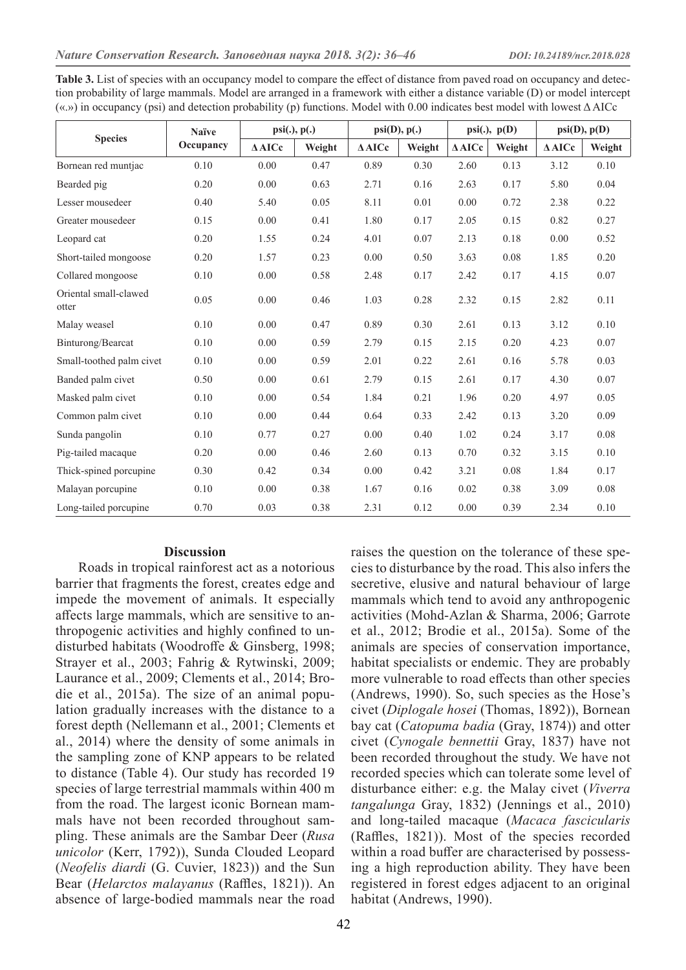| Table 3. List of species with an occupancy model to compare the effect of distance from paved road on occupancy and detec-          |
|-------------------------------------------------------------------------------------------------------------------------------------|
| tion probability of large mammals. Model are arranged in a framework with either a distance variable (D) or model intercept         |
| («.») in occupancy (psi) and detection probability (p) functions. Model with 0.00 indicates best model with lowest $\triangle$ AICc |

| <b>Species</b>                 | <b>Naïve</b> | $psi(.)$ , $p(.)$ |        | psi(D), p(.)     |        | $psi(.)$ , $p(D)$ |        | psi(D), p(D)     |        |
|--------------------------------|--------------|-------------------|--------|------------------|--------|-------------------|--------|------------------|--------|
|                                | Occupancy    | $\triangle$ AICc  | Weight | $\triangle$ AICc | Weight | $\triangle$ AICc  | Weight | $\triangle$ AICc | Weight |
| Bornean red muntjac            | 0.10         | 0.00              | 0.47   | 0.89             | 0.30   | 2.60              | 0.13   | 3.12             | 0.10   |
| Bearded pig                    | 0.20         | 0.00              | 0.63   | 2.71             | 0.16   | 2.63              | 0.17   | 5.80             | 0.04   |
| Lesser mousedeer               | 0.40         | 5.40              | 0.05   | 8.11             | 0.01   | 0.00              | 0.72   | 2.38             | 0.22   |
| Greater mousedeer              | 0.15         | 0.00              | 0.41   | 1.80             | 0.17   | 2.05              | 0.15   | 0.82             | 0.27   |
| Leopard cat                    | 0.20         | 1.55              | 0.24   | 4.01             | 0.07   | 2.13              | 0.18   | 0.00             | 0.52   |
| Short-tailed mongoose          | 0.20         | 1.57              | 0.23   | 0.00             | 0.50   | 3.63              | 0.08   | 1.85             | 0.20   |
| Collared mongoose              | 0.10         | 0.00              | 0.58   | 2.48             | 0.17   | 2.42              | 0.17   | 4.15             | 0.07   |
| Oriental small-clawed<br>otter | 0.05         | 0.00              | 0.46   | 1.03             | 0.28   | 2.32              | 0.15   | 2.82             | 0.11   |
| Malay weasel                   | 0.10         | 0.00              | 0.47   | 0.89             | 0.30   | 2.61              | 0.13   | 3.12             | 0.10   |
| Binturong/Bearcat              | 0.10         | 0.00              | 0.59   | 2.79             | 0.15   | 2.15              | 0.20   | 4.23             | 0.07   |
| Small-toothed palm civet       | 0.10         | 0.00              | 0.59   | 2.01             | 0.22   | 2.61              | 0.16   | 5.78             | 0.03   |
| Banded palm civet              | 0.50         | 0.00              | 0.61   | 2.79             | 0.15   | 2.61              | 0.17   | 4.30             | 0.07   |
| Masked palm civet              | 0.10         | 0.00              | 0.54   | 1.84             | 0.21   | 1.96              | 0.20   | 4.97             | 0.05   |
| Common palm civet              | 0.10         | 0.00              | 0.44   | 0.64             | 0.33   | 2.42              | 0.13   | 3.20             | 0.09   |
| Sunda pangolin                 | 0.10         | 0.77              | 0.27   | 0.00             | 0.40   | 1.02              | 0.24   | 3.17             | 0.08   |
| Pig-tailed macaque             | 0.20         | 0.00              | 0.46   | 2.60             | 0.13   | 0.70              | 0.32   | 3.15             | 0.10   |
| Thick-spined porcupine         | 0.30         | 0.42              | 0.34   | 0.00             | 0.42   | 3.21              | 0.08   | 1.84             | 0.17   |
| Malayan porcupine              | 0.10         | 0.00              | 0.38   | 1.67             | 0.16   | 0.02              | 0.38   | 3.09             | 0.08   |
| Long-tailed porcupine          | 0.70         | 0.03              | 0.38   | 2.31             | 0.12   | 0.00              | 0.39   | 2.34             | 0.10   |

## **Discussion**

Roads in tropical rainforest act as a notorious barrier that fragments the forest, creates edge and impede the movement of animals. It especially affects large mammals, which are sensitive to anthropogenic activities and highly confined to undisturbed habitats (Woodroffe & Ginsberg, 1998; Strayer et al., 2003; Fahrig & Rytwinski, 2009; Laurance et al., 2009; Clements et al., 2014; Brodie et al., 2015a). The size of an animal population gradually increases with the distance to a forest depth (Nellemann et al., 2001; Clements et al., 2014) where the density of some animals in the sampling zone of KNP appears to be related to distance (Table 4). Our study has recorded 19 species of large terrestrial mammals within 400 m from the road. The largest iconic Bornean mammals have not been recorded throughout sampling. These animals are the Sambar Deer (*Rusa unicolor* (Kerr, 1792)), Sunda Clouded Leopard (*Neofelis diardi* (G. Cuvier, 1823)) and the Sun Bear (*Helarctos malayanus* (Raffles, 1821)). An absence of large-bodied mammals near the road raises the question on the tolerance of these species to disturbance by the road. This also infers the secretive, elusive and natural behaviour of large mammals which tend to avoid any anthropogenic activities (Mohd-Azlan & Sharma, 2006; Garrote et al., 2012; Brodie et al., 2015a). Some of the animals are species of conservation importance, habitat specialists or endemic. They are probably more vulnerable to road effects than other species (Andrews, 1990). So, such species as the Hose's civet (*Diplogale hosei* (Thomas, 1892)), Bornean bay cat (*Catopuma badia* (Gray, 1874)) and otter civet (*Cynogale bennettii* Gray, 1837) have not been recorded throughout the study. We have not recorded species which can tolerate some level of disturbance either: e.g. the Malay civet (*Viverra tangalunga* Gray, 1832) (Jennings et al., 2010) and long-tailed macaque (*Macaca fascicularis* (Raffles, 1821)). Most of the species recorded within a road buffer are characterised by possessing a high reproduction ability. They have been registered in forest edges adjacent to an original habitat (Andrews, 1990).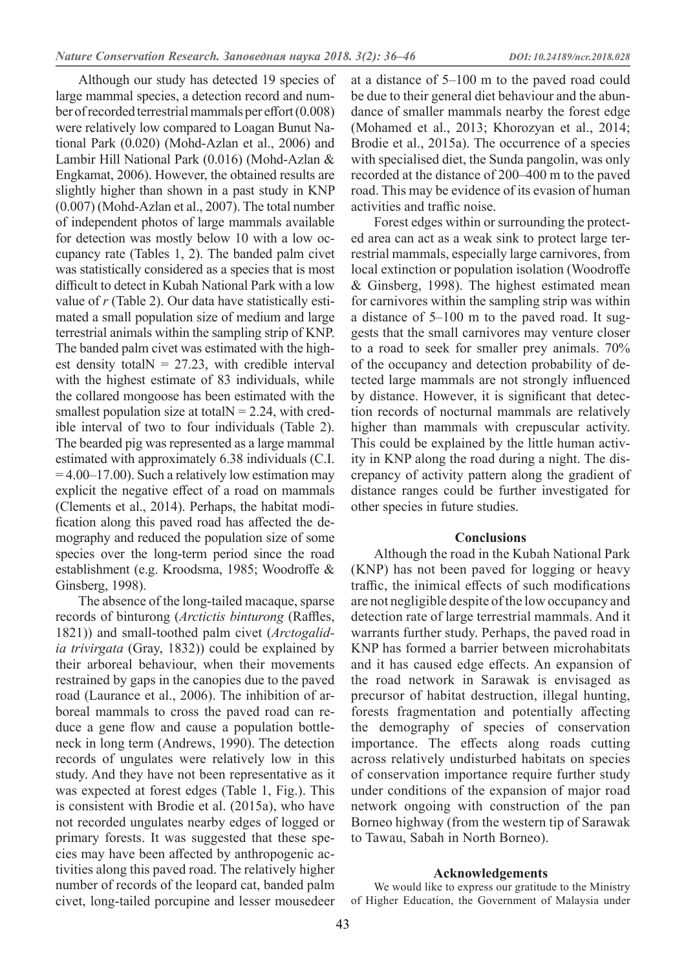Although our study has detected 19 species of large mammal species, a detection record and number of recorded terrestrial mammals per effort (0.008) were relatively low compared to Loagan Bunut National Park (0.020) (Mohd-Azlan et al., 2006) and Lambir Hill National Park (0.016) (Mohd-Azlan & Engkamat, 2006). However, the obtained results are slightly higher than shown in a past study in KNP (0.007) (Mohd-Azlan et al., 2007). The total number of independent photos of large mammals available for detection was mostly below 10 with a low occupancy rate (Tables 1, 2). The banded palm civet was statistically considered as a species that is most difficult to detect in Kubah National Park with a low value of *r* (Table 2). Our data have statistically estimated a small population size of medium and large terrestrial animals within the sampling strip of KNP. The banded palm civet was estimated with the highest density total  $N = 27.23$ , with credible interval with the highest estimate of 83 individuals, while the collared mongoose has been estimated with the smallest population size at total  $N = 2.24$ , with credible interval of two to four individuals (Table 2). The bearded pig was represented as a large mammal estimated with approximately 6.38 individuals (C.I.  $= 4.00 - 17.00$ . Such a relatively low estimation may explicit the negative effect of a road on mammals (Clements et al., 2014). Perhaps, the habitat modification along this paved road has affected the demography and reduced the population size of some species over the long-term period since the road establishment (e.g. Kroodsma, 1985; Woodroffe & Ginsberg, 1998).

The absence of the long-tailed macaque, sparse records of binturong (*Arctictis binturong* (Raffles, 1821)) and small-toothed palm civet (*Arctogalidia trivirgata* (Gray, 1832)) could be explained by their arboreal behaviour, when their movements restrained by gaps in the canopies due to the paved road (Laurance et al., 2006). The inhibition of arboreal mammals to cross the paved road can reduce a gene flow and cause a population bottleneck in long term (Andrews, 1990). The detection records of ungulates were relatively low in this study. And they have not been representative as it was expected at forest edges (Table 1, Fig.). This is consistent with Brodie et al. (2015a), who have not recorded ungulates nearby edges of logged or primary forests. It was suggested that these species may have been affected by anthropogenic activities along this paved road. The relatively higher number of records of the leopard cat, banded palm civet, long-tailed porcupine and lesser mousedeer

at a distance of 5–100 m to the paved road could be due to their general diet behaviour and the abundance of smaller mammals nearby the forest edge (Mohamed et al., 2013; Khorozyan et al., 2014; Brodie et al., 2015a). The occurrence of a species with specialised diet, the Sunda pangolin, was only recorded at the distance of 200–400 m to the paved road. This may be evidence of its evasion of human activities and traffic noise.

Forest edges within or surrounding the protected area can act as a weak sink to protect large terrestrial mammals, especially large carnivores, from local extinction or population isolation (Woodroffe & Ginsberg, 1998). The highest estimated mean for carnivores within the sampling strip was within a distance of 5–100 m to the paved road. It suggests that the small carnivores may venture closer to a road to seek for smaller prey animals. 70% of the occupancy and detection probability of detected large mammals are not strongly influenced by distance. However, it is significant that detection records of nocturnal mammals are relatively higher than mammals with crepuscular activity. This could be explained by the little human activity in KNP along the road during a night. The discrepancy of activity pattern along the gradient of distance ranges could be further investigated for other species in future studies.

## **Conclusions**

Although the road in the Kubah National Park (KNP) has not been paved for logging or heavy traffic, the inimical effects of such modifications are not negligible despite of the low occupancy and detection rate of large terrestrial mammals. And it warrants further study. Perhaps, the paved road in KNP has formed a barrier between microhabitats and it has caused edge effects. An expansion of the road network in Sarawak is envisaged as precursor of habitat destruction, illegal hunting, forests fragmentation and potentially affecting the demography of species of conservation importance. The effects along roads cutting across relatively undisturbed habitats on species of conservation importance require further study under conditions of the expansion of major road network ongoing with construction of the pan Borneo highway (from the western tip of Sarawak to Tawau, Sabah in North Borneo).

### **Acknowledgements**

We would like to express our gratitude to the Ministry of Higher Education, the Government of Malaysia under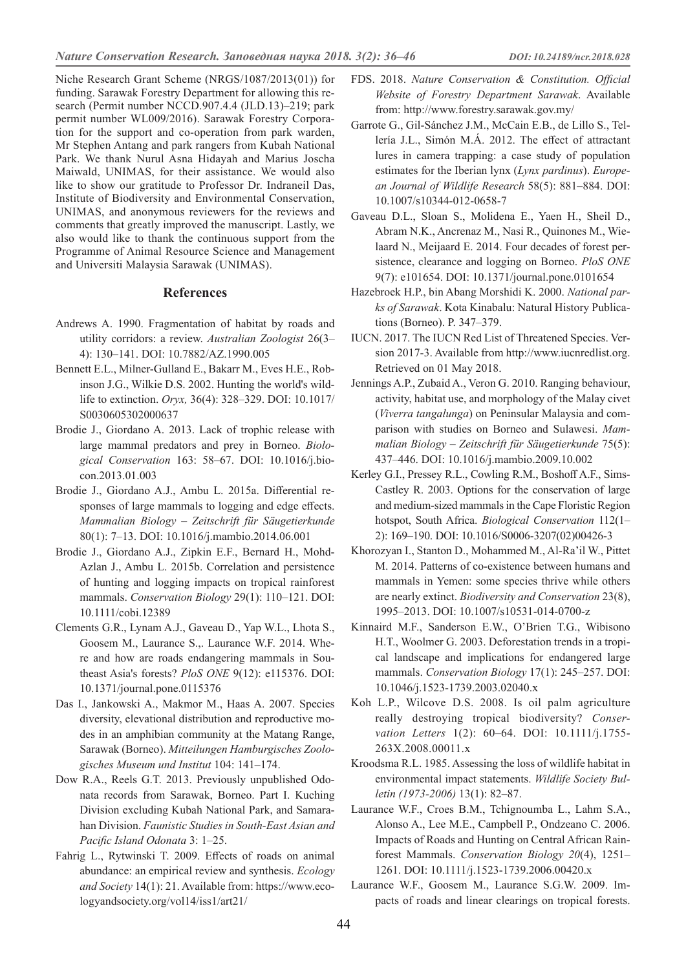Niche Research Grant Scheme (NRGS/1087/2013(01)) for funding. Sarawak Forestry Department for allowing this research (Permit number NCCD.907.4.4 (JLD.13)–219; park permit number WL009/2016). Sarawak Forestry Corporation for the support and co-operation from park warden, Mr Stephen Antang and park rangers from Kubah National Park. We thank Nurul Asna Hidayah and Marius Joscha Maiwald, UNIMAS, for their assistance. We would also like to show our gratitude to Professor Dr. Indraneil Das, Institute of Biodiversity and Environmental Conservation, UNIMAS, and anonymous reviewers for the reviews and comments that greatly improved the manuscript. Lastly, we also would like to thank the continuous support from the Programme of Animal Resource Science and Management and Universiti Malaysia Sarawak (UNIMAS).

#### **References**

- Andrews A. 1990. Fragmentation of habitat by roads and utility corridors: a review. *Australian Zoologist* 26(3– 4): 130–141. DOI: 10.7882/AZ.1990.005
- Bennett E.L., Milner-Gulland E., Bakarr M., Eves H.E., Robinson J.G., Wilkie D.S. 2002. Hunting the world's wildlife to extinction. *Oryx,* 36(4): 328–329. DOI: 10.1017/ S0030605302000637
- Brodie J., Giordano A. 2013. Lack of trophic release with large mammal predators and prey in Borneo. *Biological Conservation* 163: 58–67. DOI: 10.1016/j.biocon.2013.01.003
- Brodie J., Giordano A.J., Ambu L. 2015a. Differential responses of large mammals to logging and edge effects. *Mammalian Biology – Zeitschrift für Säugetierkunde*  80(1): 7–13. DOI: 10.1016/j.mambio.2014.06.001
- Brodie J., Giordano A.J., Zipkin E.F., Bernard H., Mohd-Azlan J., Ambu L. 2015b. Correlation and persistence of hunting and logging impacts on tropical rainforest mammals. *Conservation Biology* 29(1): 110–121. DOI: 10.1111/cobi.12389
- Clements G.R., Lynam A.J., Gaveau D., Yap W.L., Lhota S., Goosem M., Laurance S.,. Laurance W.F. 2014. Where and how are roads endangering mammals in Southeast Asia's forests? *PloS ONE* 9(12): e115376. DOI: 10.1371/journal.pone.0115376
- Das I., Jankowski A., Makmor M., Haas A. 2007. Species diversity, elevational distribution and reproductive modes in an amphibian community at the Matang Range, Sarawak (Borneo). *Mitteilungen Hamburgisches Zoologisches Museum und Institut* 104: 141–174.
- Dow R.A., Reels G.T. 2013. Previously unpublished Odonata records from Sarawak, Borneo. Part I. Kuching Division excluding Kubah National Park, and Samarahan Division. *Faunistic Studies in South-East Asian and Pacific Island Odonata* 3: 1–25.
- Fahrig L., Rytwinski T. 2009. Effects of roads on animal abundance: an empirical review and synthesis. *Ecology and Society* 14(1): 21. Available from: https://www.ecologyandsociety.org/vol14/iss1/art21/
- FDS. 2018. *Nature Conservation & Constitution. Official Website of Forestry Department Sarawak*. Available from: http://www.forestry.sarawak.gov.my/
- Garrote G., Gil-Sánchez J.M., McCain E.B., de Lillo S., Tellería J.L., Simón M.Á. 2012. The effect of attractant lures in camera trapping: a case study of population estimates for the Iberian lynx (*Lynx pardinus*). *European Journal of Wildlife Research* 58(5): 881–884. DOI: 10.1007/s10344-012-0658-7
- Gaveau D.L., Sloan S., Molidena E., Yaen H., Sheil D., Abram N.K., Ancrenaz M., Nasi R., Quinones M., Wielaard N., Meijaard E. 2014. Four decades of forest persistence, clearance and logging on Borneo. *PloS ONE* 9(7): e101654. DOI: 10.1371/journal.pone.0101654
- Hazebroek H.P., bin Abang Morshidi K. 2000. *National parks of Sarawak*. Kota Kinabalu: Natural History Publications (Borneo). P. 347–379.
- IUCN. 2017. The IUCN Red List of Threatened Species. Version 2017-3. Available from http://www.iucnredlist.org. Retrieved on 01 May 2018.
- Jennings A.P., Zubaid A., Veron G. 2010. Ranging behaviour, activity, habitat use, and morphology of the Malay civet (*Viverra tangalunga*) on Peninsular Malaysia and comparison with studies on Borneo and Sulawesi. *Mammalian Biology – Zeitschrift für Säugetierkunde* 75(5): 437–446. DOI: 10.1016/j.mambio.2009.10.002
- Kerley G.I., Pressey R.L., Cowling R.M., Boshoff A.F., Sims-Castley R. 2003. Options for the conservation of large and medium-sized mammals in the Cape Floristic Region hotspot, South Africa. *Biological Conservation* 112(1– 2): 169–190. DOI: 10.1016/S0006-3207(02)00426-3
- Khorozyan I., Stanton D., Mohammed M., Al-Ra'il W., Pittet M. 2014. Patterns of co-existence between humans and mammals in Yemen: some species thrive while others are nearly extinct. *Biodiversity and Conservation* 23(8), 1995–2013. DOI: 10.1007/s10531-014-0700-z
- Kinnaird M.F., Sanderson E.W., O'Brien T.G., Wibisono H.T., Woolmer G. 2003. Deforestation trends in a tropical landscape and implications for endangered large mammals. *Conservation Biology* 17(1): 245–257. DOI: 10.1046/j.1523-1739.2003.02040.x
- Koh L.P., Wilcove D.S. 2008. Is oil palm agriculture really destroying tropical biodiversity? *Conservation Letters* 1(2): 60–64. DOI: 10.1111/j.1755- 263X.2008.00011.x
- Kroodsma R.L. 1985. Assessing the loss of wildlife habitat in environmental impact statements. *Wildlife Society Bulletin (1973-2006)* 13(1): 82–87.
- Laurance W.F., Croes B.M., Tchignoumba L., Lahm S.A., Alonso A., Lee M.E., Campbell P., Ondzeano C. 2006. Impacts of Roads and Hunting on Central African Rainforest Mammals. *Conservation Biology 20*(4), 1251– 1261. DOI: 10.1111/j.1523-1739.2006.00420.x
- Laurance W.F., Goosem M., Laurance S.G.W. 2009. Impacts of roads and linear clearings on tropical forests.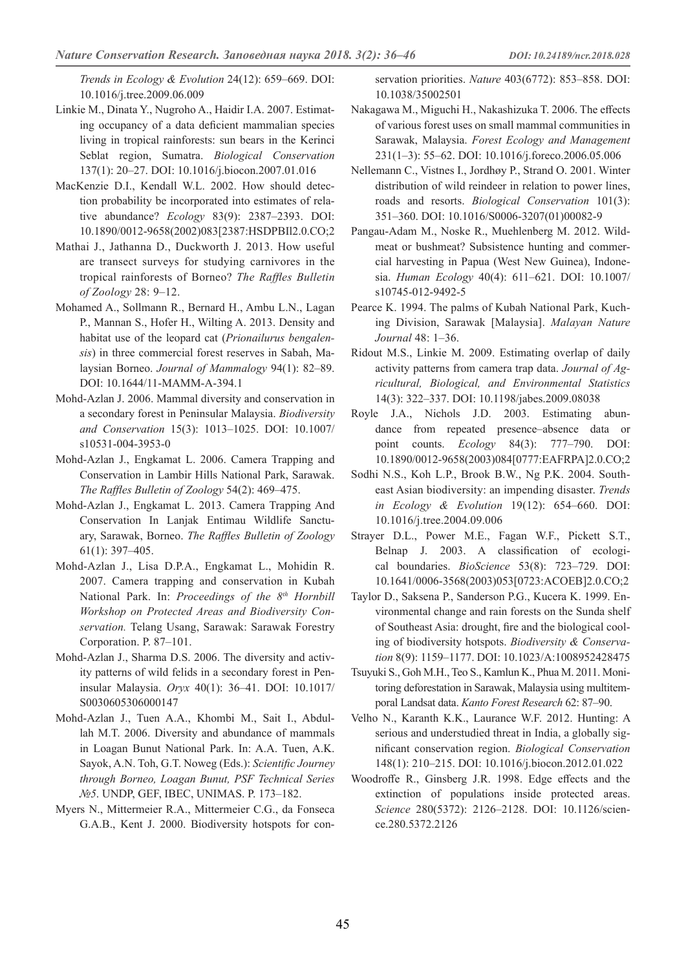*Trends in Ecology & Evolution* 24(12): 659–669. DOI: 10.1016/j.tree.2009.06.009

- Linkie M., Dinata Y., Nugroho A., Haidir I.A. 2007. Estimating occupancy of a data deficient mammalian species living in tropical rainforests: sun bears in the Kerinci Seblat region, Sumatra. *Biological Conservation*  137(1): 20–27. DOI: 10.1016/j.biocon.2007.01.016
- MacKenzie D.I., Kendall W.L. 2002. How should detection probability be incorporated into estimates of relative abundance? *Ecology* 83(9): 2387–2393. DOI: 10.1890/0012-9658(2002)083[2387:HSDPBIl2.0.CO;2
- Mathai J., Jathanna D., Duckworth J. 2013. How useful are transect surveys for studying carnivores in the tropical rainforests of Borneo? *The Raffles Bulletin of Zoology* 28: 9–12.
- Mohamed A., Sollmann R., Bernard H., Ambu L.N., Lagan P., Mannan S., Hofer H., Wilting A. 2013. Density and habitat use of the leopard cat (*Prionailurus bengalensis*) in three commercial forest reserves in Sabah, Malaysian Borneo. *Journal of Mammalogy* 94(1): 82–89. DOI: 10.1644/11-MAMM-A-394.1
- Mohd-Azlan J. 2006. Mammal diversity and conservation in a secondary forest in Peninsular Malaysia. *Biodiversity and Conservation* 15(3): 1013–1025. DOI: 10.1007/ s10531-004-3953-0
- Mohd-Azlan J., Engkamat L. 2006. Camera Trapping and Conservation in Lambir Hills National Park, Sarawak. *The Raffles Bulletin of Zoology* 54(2): 469–475.
- Mohd-Azlan J., Engkamat L. 2013. Camera Trapping And Conservation In Lanjak Entimau Wildlife Sanctuary, Sarawak, Borneo. *The Raffles Bulletin of Zoology* 61(1): 397–405.
- Mohd-Azlan J., Lisa D.P.A., Engkamat L., Mohidin R. 2007. Camera trapping and conservation in Kubah National Park. In: *Proceedings of the 8th Hornbill Workshop on Protected Areas and Biodiversity Conservation.* Telang Usang, Sarawak: Sarawak Forestry Corporation. P. 87–101.
- Mohd-Azlan J., Sharma D.S. 2006. The diversity and activity patterns of wild felids in a secondary forest in Peninsular Malaysia. *Oryx* 40(1): 36–41. DOI: 10.1017/ S0030605306000147
- Mohd-Azlan J., Tuen A.A., Khombi M., Sait I., Abdullah M.T. 2006. Diversity and abundance of mammals in Loagan Bunut National Park. In: A.A. Tuen, A.K. Sayok, A.N. Toh, G.T. Noweg (Eds.): *Scientific Journey through Borneo, Loagan Bunut, PSF Technical Series №5*. UNDP, GEF, IBEC, UNIMAS. P. 173–182.
- Myers N., Mittermeier R.A., Mittermeier C.G., da Fonseca G.A.B., Kent J. 2000. Biodiversity hotspots for con-

servation priorities. *Nature* 403(6772): 853–858. DOI: 10.1038/35002501

- Nakagawa M., Miguchi H., Nakashizuka T. 2006. The effects of various forest uses on small mammal communities in Sarawak, Malaysia. *Forest Ecology and Management*  231(1–3): 55–62. DOI: 10.1016/j.foreco.2006.05.006
- Nellemann C., Vistnes I., Jordhøy P., Strand O. 2001. Winter distribution of wild reindeer in relation to power lines, roads and resorts. *Biological Conservation* 101(3): 351–360. DOI: 10.1016/S0006-3207(01)00082-9
- Pangau-Adam M., Noske R., Muehlenberg M. 2012. Wildmeat or bushmeat? Subsistence hunting and commercial harvesting in Papua (West New Guinea), Indonesia. *Human Ecology* 40(4): 611–621. DOI: 10.1007/ s10745-012-9492-5
- Pearce K. 1994. The palms of Kubah National Park, Kuching Division, Sarawak [Malaysia]. *Malayan Nature Journal* 48: 1–36.
- Ridout M.S., Linkie M. 2009. Estimating overlap of daily activity patterns from camera trap data. *Journal of Agricultural, Biological, and Environmental Statistics* 14(3): 322–337. DOI: 10.1198/jabes.2009.08038
- Royle J.A., Nichols J.D. 2003. Estimating abundance from repeated presence–absence data or point counts. *Ecology* 84(3): 777–790. DOI: 10.1890/0012-9658(2003)084[0777:EAFRPA]2.0.CO;2
- Sodhi N.S., Koh L.P., Brook B.W., Ng P.K. 2004. Southeast Asian biodiversity: an impending disaster. *Trends in Ecology & Evolution* 19(12): 654–660. DOI: 10.1016/j.tree.2004.09.006
- Strayer D.L., Power M.E., Fagan W.F., Pickett S.T., Belnap J. 2003. A classification of ecological boundaries. *BioScience* 53(8): 723–729. DOI: 10.1641/0006-3568(2003)053[0723:ACOEB]2.0.CO;2
- Taylor D., Saksena P., Sanderson P.G., Kucera K. 1999. Environmental change and rain forests on the Sunda shelf of Southeast Asia: drought, fire and the biological cooling of biodiversity hotspots. *Biodiversity & Conservation* 8(9): 1159–1177. DOI: 10.1023/A:1008952428475
- Tsuyuki S., Goh M.H., Teo S., Kamlun K., Phua M. 2011. Monitoring deforestation in Sarawak, Malaysia using multitemporal Landsat data. *Kanto Forest Research* 62: 87–90.
- Velho N., Karanth K.K., Laurance W.F. 2012. Hunting: A serious and understudied threat in India, a globally significant conservation region. *Biological Conservation* 148(1): 210–215. DOI: 10.1016/j.biocon.2012.01.022
- Woodroffe R., Ginsberg J.R. 1998. Edge effects and the extinction of populations inside protected areas. *Science* 280(5372): 2126–2128. DOI: 10.1126/science.280.5372.2126